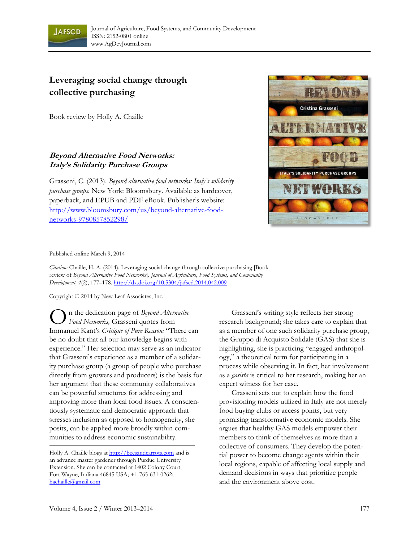

## **Leveraging social change through collective purchasing**

Book review by Holly A. Chaille

## **Beyond Alternative Food Networks: Italy's Solidarity Purchase Groups**

Grasseni, C. (2013). *Beyond alternative food networks: Italy's solidarity purchase groups.* New York: Bloomsbury. Available as hardcover, paperback, and EPUB and PDF eBook. Publisher's website: http://www.bloomsbury.com/us/beyond-alternative-foodnetworks-9780857852298/



## Published online March 9, 2014

*Citation:* Chaille, H. A. (2014). Leveraging social change through collective purchasing [Book review of *Beyond Alternative Food Networks*]. *Journal of Agriculture, Food Systems, and Community Development, 4*(2), 177–178. http://dx.doi.org/10.5304/jafscd.2014.042.009

Copyright © 2014 by New Leaf Associates, Inc.

**O** in the dedication page of *Beyond Alternative*<br>
Food *Networks*, Grasseni quotes from *Food Networks,* Grasseni quotes from Immanuel Kant's *Critique of Pure Reason:* "There can be no doubt that all our knowledge begins with experience." Her selection may serve as an indicator that Grasseni's experience as a member of a solidarity purchase group (a group of people who purchase directly from growers and producers) is the basis for her argument that these community collaboratives can be powerful structures for addressing and improving more than local food issues. A conscientiously systematic and democratic approach that stresses inclusion as opposed to homogeneity, she posits, can be applied more broadly within communities to address economic sustainability.

Holly A. Chaille blogs at http://beesandcarrots.com and is an advance master gardener through Purdue University Extension. She can be contacted at 1402 Colony Court, Fort Wayne, Indiana 46845 USA; +1-765-631-0262; hachaille@gmail.com

 Grasseni's writing style reflects her strong research background; she takes care to explain that as a member of one such solidarity purchase group, the Gruppo di Acquisto Solidale (GAS) that she is highlighting, she is practicing "engaged anthropology," a theoretical term for participating in a process while observing it. In fact, her involvement as a *gasista* is critical to her research, making her an expert witness for her case.

 Grasseni sets out to explain how the food provisioning models utilized in Italy are not merely food buying clubs or access points, but very promising transformative economic models. She argues that healthy GAS models empower their members to think of themselves as more than a collective of consumers. They develop the potential power to become change agents within their local regions, capable of affecting local supply and demand decisions in ways that prioritize people and the environment above cost.